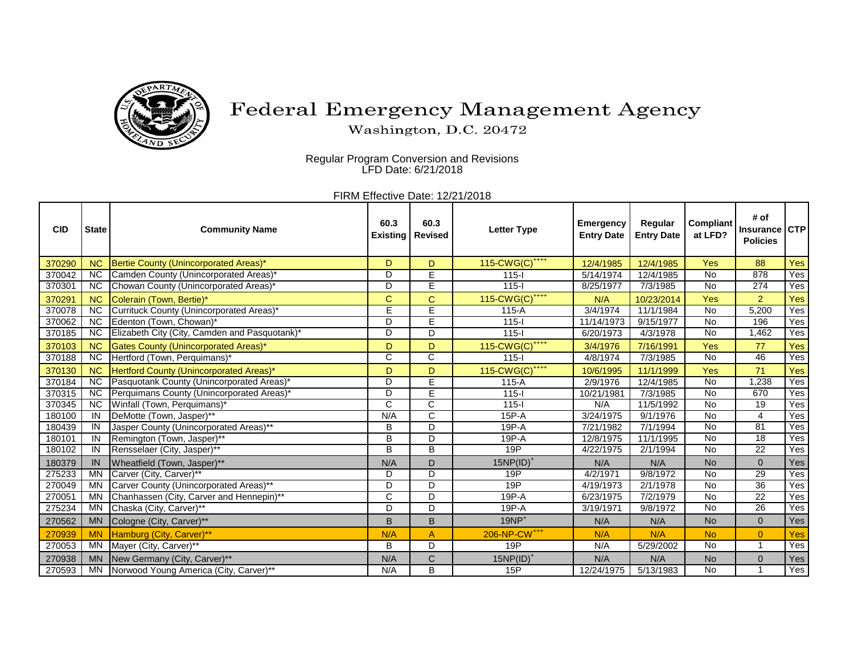

## Federal Emergency Management Agency

Washington, D.C. 20472

 Regular Program Conversion and Revisions LFD Date: 6/21/2018

FIRM Effective Date: 12/21/2018

| <b>CID</b> | <b>State</b>    | <b>Community Name</b>                         | 60.3<br>Existing | 60.3<br><b>Revised</b> | <b>Letter Type</b>            | <b>Emergency</b><br><b>Entry Date</b> | Regular<br><b>Entry Date</b> | Compliant<br>at LFD? | # of<br>Insurance CTP<br><b>Policies</b> |     |
|------------|-----------------|-----------------------------------------------|------------------|------------------------|-------------------------------|---------------------------------------|------------------------------|----------------------|------------------------------------------|-----|
| 370290     | <b>NC</b>       | Bertie County (Unincorporated Areas)*         | D                | D                      | 115-CWG(C) <sup>++++</sup>    | 12/4/1985                             | 12/4/1985                    | Yes                  | 88                                       | Yes |
| 370042     | <b>NC</b>       | Camden County (Unincorporated Areas)*         | D                | E                      | $115 -$                       | 5/14/1974                             | 12/4/1985                    | <b>No</b>            | 878                                      | Yes |
| 370301     | <b>NC</b>       | Chowan County (Unincorporated Areas)*         | D                | E                      | $115 -$                       | 8/25/1977                             | 7/3/1985                     | <b>No</b>            | 274                                      | Yes |
| 370291     | <b>NC</b>       | Colerain (Town, Bertie)*                      | C                | Ć                      | 115-CWG(C) <sup>++++</sup>    | N/A                                   | 10/23/2014                   | Yes                  | $\overline{2}$                           | Yes |
| 370078     | $\overline{NC}$ | Currituck County (Unincorporated Areas)*      | Ε                | E                      | $115-A$                       | 3/4/1974                              | 11/1/1984                    | <b>No</b>            | 5,200                                    | Yes |
| 370062     | <b>NC</b>       | Edenton (Town, Chowan)*                       | D                | Ē                      | $115 -$                       | 11/14/1973                            | 9/15/1977                    | <b>No</b>            | 196                                      | Yes |
| 370185     | <b>NC</b>       | Elizabeth City (City, Camden and Pasquotank)* | D                | D                      | $115 -$                       | 6/20/1973                             | 4/3/1978                     | No                   | 1,462                                    | Yes |
| 370103     | <b>NC</b>       | <b>Gates County (Unincorporated Areas)*</b>   | D                | D                      | 115-CWG(C) <sup>++++</sup>    | 3/4/1976                              | 7/16/1991                    | Yes                  | 77                                       | Yes |
| 370188     | <b>NC</b>       | Hertford (Town, Perquimans)*                  | C                | C                      | $115 -$                       | 4/8/1974                              | 7/3/1985                     | <b>No</b>            | 46                                       | Yes |
| 370130     | <b>NC</b>       | Hertford County (Unincorporated Areas)*       | D                | D                      | $115$ -CWG(C) <sup>++++</sup> | 10/6/1995                             | 11/1/1999                    | Yes                  | 71                                       | Yes |
| 370184     | <b>NC</b>       | Pasquotank County (Unincorporated Areas)*     | D                | Ē                      | $115-A$                       | 2/9/1976                              | 12/4/1985                    | <b>No</b>            | 1,238                                    | Yes |
| 370315     | <b>NC</b>       | Perquimans County (Unincorporated Areas)*     | D                | E                      | $115 -$                       | 10/21/1981                            | 7/3/1985                     | <b>No</b>            | 670                                      | Yes |
| 370345     | $\overline{NC}$ | Winfall (Town, Perquimans)*                   | C                | $\overline{\text{c}}$  | $115 -$                       | N/A                                   | 11/5/1992                    | $\overline{N}$       | 19                                       | Yes |
| 180100     | IN              | DeMotte (Town, Jasper)**                      | N/A              | C                      | $15P-A$                       | 3/24/1975                             | 9/1/1976                     | <b>No</b>            | 4                                        | Yes |
| 180439     | IN              | Jasper County (Unincorporated Areas)**        | B                | D                      | 19P-A                         | 7/21/1982                             | 7/1/1994                     | <b>No</b>            | 81                                       | Yes |
| 180101     | IN              | Remington (Town, Jasper)**                    | B                | $\overline{D}$         | $19P-A$                       | 12/8/1975                             | 11/1/1995                    | <b>No</b>            | $\overline{18}$                          | Yes |
| 180102     | IN              | Rensselaer (City, Jasper)**                   | B                | В                      | 19P                           | 4/22/1975                             | 2/1/1994                     | <b>No</b>            | 22                                       | Yes |
| 180379     | IN              | Wheatfield (Town, Jasper)**                   | N/A              | D                      | $15NP(ID)^+$                  | N/A                                   | N/A                          | <b>No</b>            | $\mathbf{0}$                             | Yes |
| 275233     | <b>MN</b>       | Carver (City, Carver)**                       | D                | D                      | 19P                           | 4/2/1971                              | 9/8/1972                     | <b>No</b>            | 29                                       | Yes |
| 270049     | MN              | Carver County (Unincorporated Areas)**        | D                | D                      | 19P                           | 4/19/1973                             | 2/1/1978                     | $\overline{N}$       | 36                                       | Yes |
| 270051     | <b>MN</b>       | Chanhassen (City, Carver and Hennepin)**      | C                | D                      | $19P - A$                     | 6/23/1975                             | 7/2/1979                     | <b>No</b>            | $\overline{22}$                          | Yes |
| 275234     | <b>MN</b>       | Chaska (City, Carver)**                       | D                | D                      | $19P-A$                       | 3/19/1971                             | 9/8/1972                     | <b>No</b>            | $\overline{26}$                          | Yes |
| 270562     | <b>MN</b>       | Cologne (City, Carver)**                      | B                | B                      | $19NP+$                       | N/A                                   | N/A                          | <b>No</b>            | $\mathbf{0}$                             | Yes |
| 270939     | <b>MN</b>       | Hamburg (City, Carver)**                      | N/A              | A                      | 206-NP-CW <sup>+++</sup>      | N/A                                   | N/A                          | <b>No</b>            | $\overline{0}$                           | Yes |
| 270053     | <b>MN</b>       | Mayer (City, Carver)**                        | B                | D                      | 19P                           | N/A                                   | 5/29/2002                    | <b>No</b>            |                                          | Yes |
| 270938     | <b>MN</b>       | New Germany (City, Carver)**                  | N/A              | C                      | $15NP(ID)^+$                  | N/A                                   | N/A                          | <b>No</b>            | $\Omega$                                 | Yes |
| 270593     | <b>MN</b>       | Norwood Young America (City, Carver)**        | N/A              | B                      | 15P                           | 12/24/1975                            | 5/13/1983                    | <b>No</b>            |                                          | Yes |